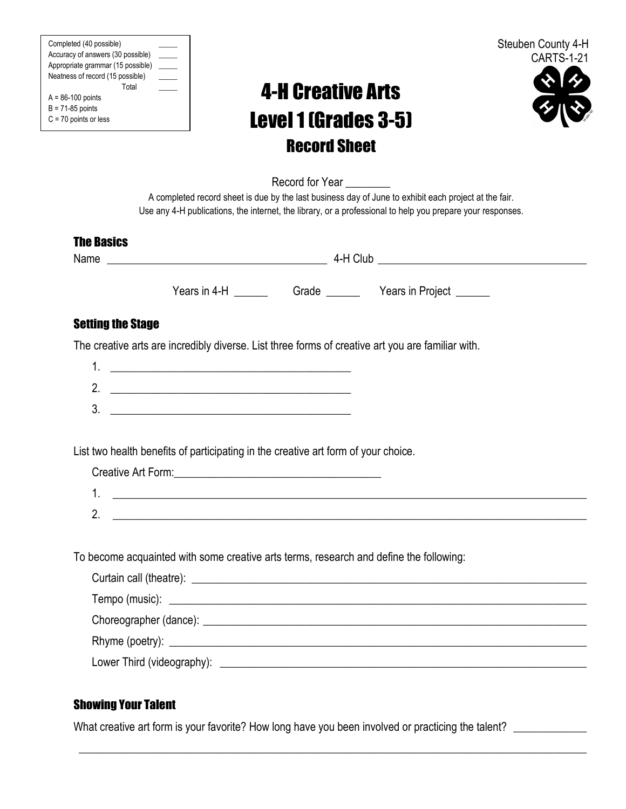| Completed (40 possible)           |  |
|-----------------------------------|--|
| Accuracy of answers (30 possible) |  |
| Appropriate grammar (15 possible) |  |
| Neatness of record (15 possible)  |  |
| Total                             |  |
| $A = 86-100$ points               |  |
| $B = 71-85$ points                |  |
| $C = 70$ points or less           |  |



# 4-H Creative Arts Level1 (Grades 3-5) Record Sheet



Record for Year

A completed record sheet is due by the last business day of June to exhibit each project at the fair. Use any 4-H publications, the internet, the library, or a professional to help you prepare your responses.

### The Basics

Name  $\blacksquare$ 

Years in 4-H \_\_\_\_\_\_\_ Grade \_\_\_\_\_\_ Years in Project \_\_\_\_\_\_

## Setting the Stage

The creative arts are incredibly diverse. List three forms of creative art you are familiar with.

 $3.$ 

List two health benefits of participating in the creative art form of your choice.

|                | Creative Art Form: |  |
|----------------|--------------------|--|
| .,             |                    |  |
| n.<br><u>.</u> |                    |  |

To become acquainted with some creative arts terms, research and define the following:

\_\_\_\_\_\_\_\_\_\_\_\_\_\_\_\_\_\_\_\_\_\_\_\_\_\_\_\_\_\_\_\_\_\_\_\_\_\_\_\_\_\_\_\_\_\_\_\_\_\_\_\_\_\_\_\_\_\_\_\_\_\_\_\_\_\_\_\_\_\_\_\_\_\_\_\_\_\_\_\_\_\_\_\_\_\_\_\_\_\_

## Showing Your Talent

What creative art form is your favorite? How long have you been involved or practicing the talent? \_\_\_\_\_\_\_\_\_\_\_